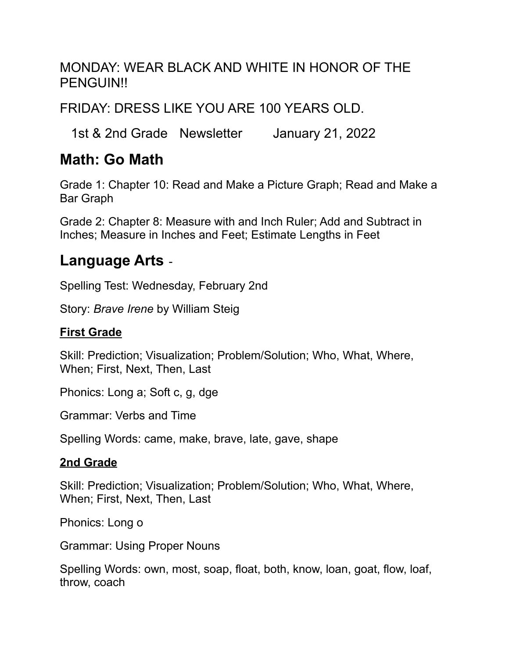#### MONDAY: WEAR BLACK AND WHITE IN HONOR OF THE PENGUIN!!

FRIDAY: DRESS LIKE YOU ARE 100 YEARS OLD.

1st & 2nd Grade Newsletter January 21, 2022

#### **Math: Go Math**

Grade 1: Chapter 10: Read and Make a Picture Graph; Read and Make a Bar Graph

Grade 2: Chapter 8: Measure with and Inch Ruler; Add and Subtract in Inches; Measure in Inches and Feet; Estimate Lengths in Feet

## **Language Arts** -

Spelling Test: Wednesday, February 2nd

Story: *Brave Irene* by William Steig

#### **First Grade**

Skill: Prediction; Visualization; Problem/Solution; Who, What, Where, When; First, Next, Then, Last

Phonics: Long a; Soft c, g, dge

Grammar: Verbs and Time

Spelling Words: came, make, brave, late, gave, shape

#### **2nd Grade**

Skill: Prediction; Visualization; Problem/Solution; Who, What, Where, When; First, Next, Then, Last

Phonics: Long o

Grammar: Using Proper Nouns

Spelling Words: own, most, soap, float, both, know, loan, goat, flow, loaf, throw, coach